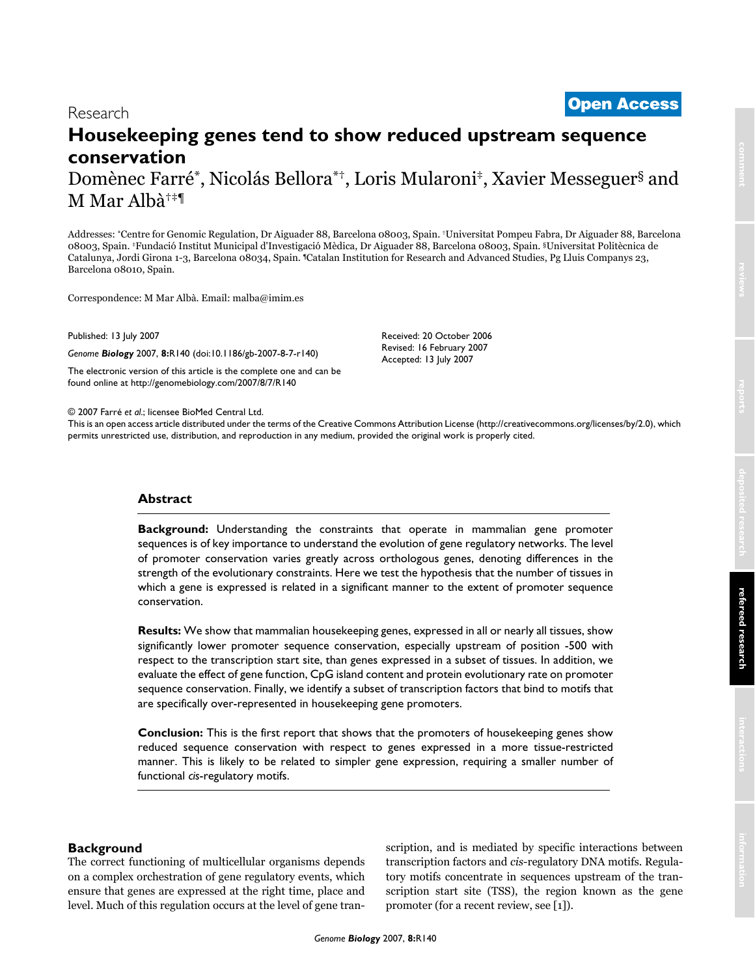# <sup>2007</sup> Farré et al. Volume 8, Issue 7, Article R140 **[Open Access](http://www.biomedcentral.com/info/about/charter/)** Research **Housekeeping genes tend to show reduced upstream sequence conservation** Domènec Farré\*, Nicolás Bellora\*†, Loris Mularoni‡, Xavier Messeguer§ and

M Mar Albà†‡¶

Addresses: \*Centre for Genomic Regulation, Dr Aiguader 88, Barcelona 08003, Spain. †Universitat Pompeu Fabra, Dr Aiguader 88, Barcelona 08003, Spain. ‡Fundació Institut Municipal d'Investigació Mèdica, Dr Aiguader 88, Barcelona 08003, Spain. §Universitat Politècnica de Catalunya, Jordi Girona 1-3, Barcelona 08034, Spain. ¶Catalan Institution for Research and Advanced Studies, Pg Lluis Companys 23, Barcelona 08010, Spain.

> Received: 20 October 2006 Revised: 16 February 2007 Accepted: 13 July 2007

Correspondence: M Mar Albà. Email: malba@imim.es

Published: 13 July 2007

*Genome Biology* 2007, **8:**R140 (doi:10.1186/gb-2007-8-7-r140)

[The electronic version of this article is the complete one and can be](http://genomebiology.com/2007/8/7/R140)  found online at http://genomebiology.com/2007/8/7/R140

© 2007 Farré *et al*.; licensee BioMed Central Ltd.

[This is an open access article distributed under the terms of the Creative Commons Attribution License \(http://creativecommons.org/licenses/by/2.0\), which](http://creativecommons.org/licenses/by/2.0)  permits unrestricted use, distribution, and reproduction in any medium, provided the original work is properly cited.

# **Abstract**

**Background:** Understanding the constraints that operate in mammalian gene promoter sequences is of key importance to understand the evolution of gene regulatory networks. The level of promoter conservation varies greatly across orthologous genes, denoting differences in the strength of the evolutionary constraints. Here we test the hypothesis that the number of tissues in which a gene is expressed is related in a significant manner to the extent of promoter sequence conservation.

**Results:** We show that mammalian housekeeping genes, expressed in all or nearly all tissues, show significantly lower promoter sequence conservation, especially upstream of position -500 with respect to the transcription start site, than genes expressed in a subset of tissues. In addition, we evaluate the effect of gene function, CpG island content and protein evolutionary rate on promoter sequence conservation. Finally, we identify a subset of transcription factors that bind to motifs that are specifically over-represented in housekeeping gene promoters.

**Conclusion:** This is the first report that shows that the promoters of housekeeping genes show reduced sequence conservation with respect to genes expressed in a more tissue-restricted manner. This is likely to be related to simpler gene expression, requiring a smaller number of functional *cis*-regulatory motifs.

### **Background**

The correct functioning of multicellular organisms depends on a complex orchestration of gene regulatory events, which ensure that genes are expressed at the right time, place and level. Much of this regulation occurs at the level of gene transcription, and is mediated by specific interactions between transcription factors and *cis*-regulatory DNA motifs. Regulatory motifs concentrate in sequences upstream of the transcription start site (TSS), the region known as the gene promoter (for a recent review, see [1]).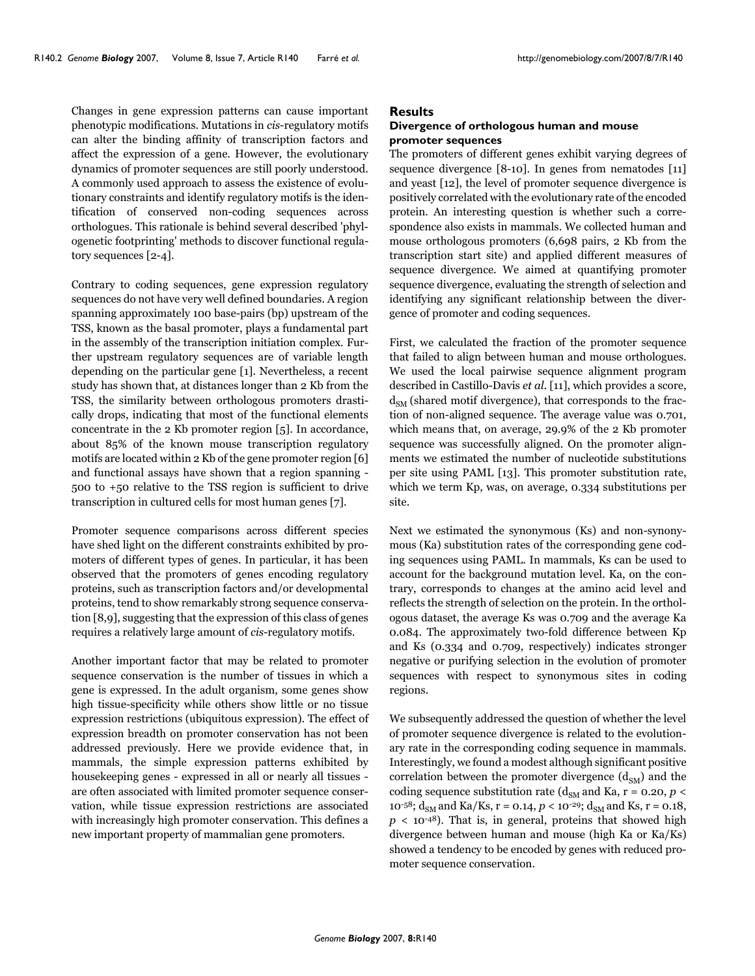Changes in gene expression patterns can cause important phenotypic modifications. Mutations in *cis*-regulatory motifs can alter the binding affinity of transcription factors and affect the expression of a gene. However, the evolutionary dynamics of promoter sequences are still poorly understood. A commonly used approach to assess the existence of evolutionary constraints and identify regulatory motifs is the identification of conserved non-coding sequences across orthologues. This rationale is behind several described 'phylogenetic footprinting' methods to discover functional regulatory sequences [2-4].

Contrary to coding sequences, gene expression regulatory sequences do not have very well defined boundaries. A region spanning approximately 100 base-pairs (bp) upstream of the TSS, known as the basal promoter, plays a fundamental part in the assembly of the transcription initiation complex. Further upstream regulatory sequences are of variable length depending on the particular gene [1]. Nevertheless, a recent study has shown that, at distances longer than 2 Kb from the TSS, the similarity between orthologous promoters drastically drops, indicating that most of the functional elements concentrate in the 2 Kb promoter region [5]. In accordance, about 85% of the known mouse transcription regulatory motifs are located within 2 Kb of the gene promoter region [6] and functional assays have shown that a region spanning - 500 to +50 relative to the TSS region is sufficient to drive transcription in cultured cells for most human genes [7].

Promoter sequence comparisons across different species have shed light on the different constraints exhibited by promoters of different types of genes. In particular, it has been observed that the promoters of genes encoding regulatory proteins, such as transcription factors and/or developmental proteins, tend to show remarkably strong sequence conservation [8,9], suggesting that the expression of this class of genes requires a relatively large amount of *cis*-regulatory motifs.

Another important factor that may be related to promoter sequence conservation is the number of tissues in which a gene is expressed. In the adult organism, some genes show high tissue-specificity while others show little or no tissue expression restrictions (ubiquitous expression). The effect of expression breadth on promoter conservation has not been addressed previously. Here we provide evidence that, in mammals, the simple expression patterns exhibited by housekeeping genes - expressed in all or nearly all tissues are often associated with limited promoter sequence conservation, while tissue expression restrictions are associated with increasingly high promoter conservation. This defines a new important property of mammalian gene promoters.

### **Results**

#### **Divergence of orthologous human and mouse promoter sequences**

The promoters of different genes exhibit varying degrees of sequence divergence [8-10]. In genes from nematodes [11] and yeast [12], the level of promoter sequence divergence is positively correlated with the evolutionary rate of the encoded protein. An interesting question is whether such a correspondence also exists in mammals. We collected human and mouse orthologous promoters (6,698 pairs, 2 Kb from the transcription start site) and applied different measures of sequence divergence. We aimed at quantifying promoter sequence divergence, evaluating the strength of selection and identifying any significant relationship between the divergence of promoter and coding sequences.

First, we calculated the fraction of the promoter sequence that failed to align between human and mouse orthologues. We used the local pairwise sequence alignment program described in Castillo-Davis *et al*. [11], which provides a score,  $d_{SM}$  (shared motif divergence), that corresponds to the fraction of non-aligned sequence. The average value was 0.701, which means that, on average, 29.9% of the 2 Kb promoter sequence was successfully aligned. On the promoter alignments we estimated the number of nucleotide substitutions per site using PAML [13]. This promoter substitution rate, which we term Kp, was, on average, 0.334 substitutions per site.

Next we estimated the synonymous (Ks) and non-synonymous (Ka) substitution rates of the corresponding gene coding sequences using PAML. In mammals, Ks can be used to account for the background mutation level. Ka, on the contrary, corresponds to changes at the amino acid level and reflects the strength of selection on the protein. In the orthologous dataset, the average Ks was 0.709 and the average Ka 0.084. The approximately two-fold difference between Kp and Ks (0.334 and 0.709, respectively) indicates stronger negative or purifying selection in the evolution of promoter sequences with respect to synonymous sites in coding regions.

We subsequently addressed the question of whether the level of promoter sequence divergence is related to the evolutionary rate in the corresponding coding sequence in mammals. Interestingly, we found a modest although significant positive correlation between the promoter divergence  $(d_{SM})$  and the coding sequence substitution rate ( $d_{SM}$  and Ka, r = 0.20,  $p$  < 10<sup>-58</sup>;  $d_{SM}$  and Ka/Ks, r = 0.14,  $p < 10^{-29}$ ;  $d_{SM}$  and Ks, r = 0.18,  $p < 10^{-48}$ ). That is, in general, proteins that showed high divergence between human and mouse (high Ka or Ka/Ks) showed a tendency to be encoded by genes with reduced promoter sequence conservation.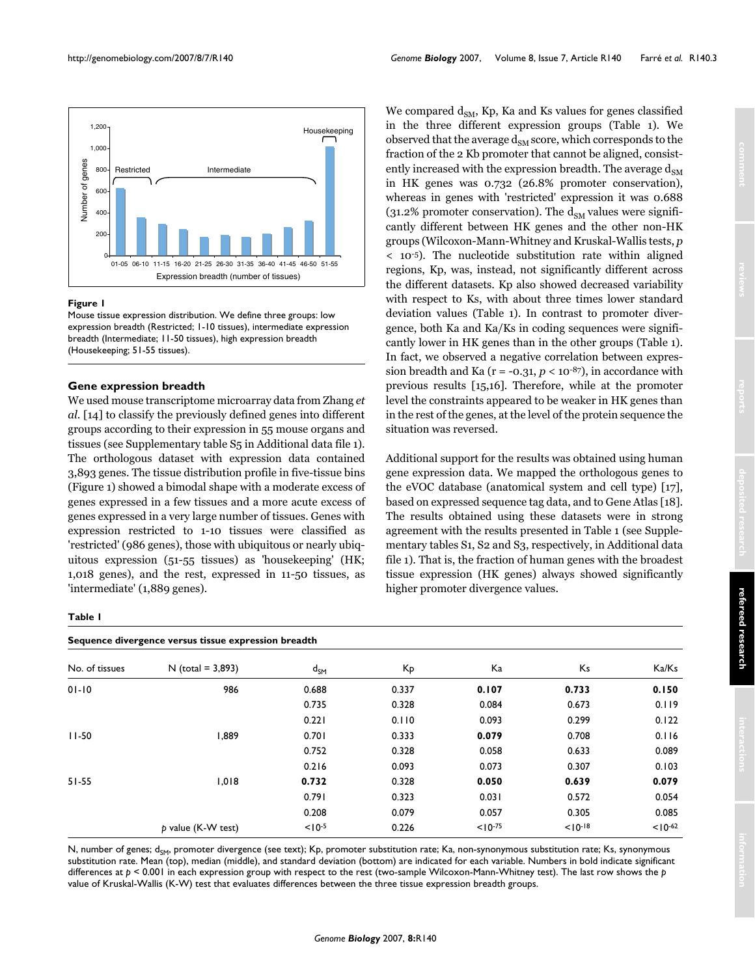

#### **Figure 1**

Mouse tissue expression distribution. We define three groups: low expression breadth (Restricted; 1-10 tissues), intermediate expression breadth (Intermediate; 11-50 tissues), high expression breadth (Housekeeping; 51-55 tissues).

### **Gene expression breadth**

We used mouse transcriptome microarray data from Zhang *et al*. [14] to classify the previously defined genes into different groups according to their expression in 55 mouse organs and tissues (see Supplementary table S5 in Additional data file 1). The orthologous dataset with expression data contained 3,893 genes. The tissue distribution profile in five-tissue bins (Figure 1) showed a bimodal shape with a moderate excess of genes expressed in a few tissues and a more acute excess of genes expressed in a very large number of tissues. Genes with expression restricted to 1-10 tissues were classified as 'restricted' (986 genes), those with ubiquitous or nearly ubiquitous expression (51-55 tissues) as 'housekeeping' (HK; 1,018 genes), and the rest, expressed in 11-50 tissues, as 'intermediate' (1,889 genes).

We compared  $d_{SM}$ , Kp, Ka and Ks values for genes classified in the three different expression groups (Table [1](#page-2-0)). We observed that the average  $d_{SM}$  score, which corresponds to the fraction of the 2 Kb promoter that cannot be aligned, consistently increased with the expression breadth. The average  $d_{\text{SM}}$ in HK genes was 0.732 (26.8% promoter conservation), whereas in genes with 'restricted' expression it was 0.688 (31.2% promoter conservation). The  $d_{SM}$  values were significantly different between HK genes and the other non-HK groups (Wilcoxon-Mann-Whitney and Kruskal-Wallis tests, *p* < 10-5). The nucleotide substitution rate within aligned regions, Kp, was, instead, not significantly different across the different datasets. Kp also showed decreased variability with respect to Ks, with about three times lower standard deviation values (Table [1\)](#page-2-0). In contrast to promoter divergence, both Ka and Ka/Ks in coding sequences were significantly lower in HK genes than in the other groups (Table [1](#page-2-0)). In fact, we observed a negative correlation between expression breadth and Ka ( $r = -0.31$ ,  $p < 10^{-87}$ ), in accordance with previous results [15,16]. Therefore, while at the promoter level the constraints appeared to be weaker in HK genes than in the rest of the genes, at the level of the protein sequence the situation was reversed.

Additional support for the results was obtained using human gene expression data. We mapped the orthologous genes to the eVOC database (anatomical system and cell type) [17], based on expressed sequence tag data, and to Gene Atlas [18]. The results obtained using these datasets were in strong agreement with the results presented in Table [1](#page-2-0) (see Supplementary tables S1, S2 and S3, respectively, in Additional data file 1). That is, the fraction of human genes with the broadest tissue expression (HK genes) always showed significantly higher promoter divergence values.

#### <span id="page-2-0"></span>**Table 1**

| Sequence divergence versus tissue expression breadth |                     |                   |       |              |            |            |  |  |  |
|------------------------------------------------------|---------------------|-------------------|-------|--------------|------------|------------|--|--|--|
| No. of tissues                                       | $N$ (total = 3,893) | $d_{\mathsf{SM}}$ | Кp    | Ka           | Ks         | Ka/Ks      |  |  |  |
| $01 - 10$                                            | 986                 | 0.688             | 0.337 | 0.107        | 0.733      | 0.150      |  |  |  |
|                                                      |                     | 0.735             | 0.328 | 0.084        | 0.673      | 0.119      |  |  |  |
|                                                      |                     | 0.221             | 0.110 | 0.093        | 0.299      | 0.122      |  |  |  |
| $11 - 50$                                            | 1,889               | 0.701             | 0.333 | 0.079        | 0.708      | 0.116      |  |  |  |
|                                                      |                     | 0.752             | 0.328 | 0.058        | 0.633      | 0.089      |  |  |  |
|                                                      |                     | 0.216             | 0.093 | 0.073        | 0.307      | 0.103      |  |  |  |
| $51 - 55$                                            | 1,018               | 0.732             | 0.328 | 0.050        | 0.639      | 0.079      |  |  |  |
|                                                      |                     | 0.791             | 0.323 | 0.031        | 0.572      | 0.054      |  |  |  |
|                                                      |                     | 0.208             | 0.079 | 0.057        | 0.305      | 0.085      |  |  |  |
| p value (K-W test)                                   |                     | $< 10^{-5}$       | 0.226 | $< 10^{-75}$ | $10^{-18}$ | $10^{-62}$ |  |  |  |

N, number of genes; d<sub>SM</sub>, promoter divergence (see text); Kp, promoter substitution rate; Ka, non-synonymous substitution rate; Ks, synonymous substitution rate. Mean (top), median (middle), and standard deviation (bottom) are indicated for each variable. Numbers in bold indicate significant differences at *p* < 0.001 in each expression group with respect to the rest (two-sample Wilcoxon-Mann-Whitney test). The last row shows the *p*  value of Kruskal-Wallis (K-W) test that evaluates differences between the three tissue expression breadth groups.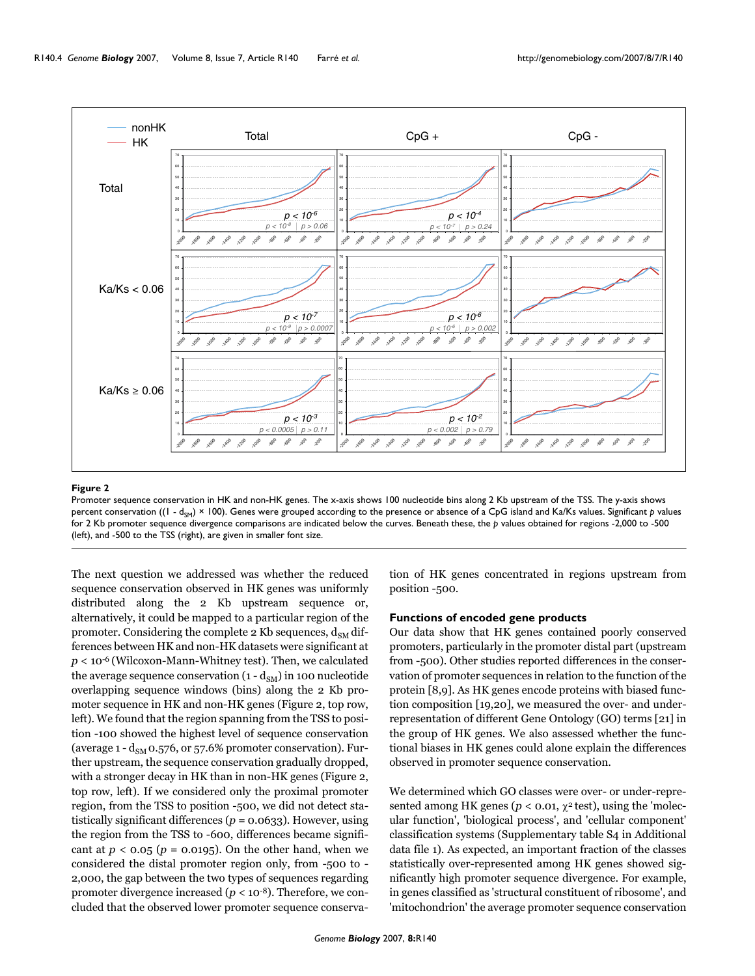

#### **Figure 2**

Promoter sequence conservation in HK and non-HK genes. The x-axis shows 100 nucleotide bins along 2 Kb upstream of the TSS. The y-axis shows percent conservation ((1 - d<sub>SM</sub>) × 100). Genes were grouped according to the presence or absence of a CpG island and Ka/Ks values. Significant *p* values for 2 Kb promoter sequence divergence comparisons are indicated below the curves. Beneath these, the *p* values obtained for regions -2,000 to -500 (left), and -500 to the TSS (right), are given in smaller font size.

The next question we addressed was whether the reduced sequence conservation observed in HK genes was uniformly distributed along the 2 Kb upstream sequence or, alternatively, it could be mapped to a particular region of the promoter. Considering the complete 2 Kb sequences,  $d_{SM}$  differences between HK and non-HK datasets were significant at *p* < 10-6 (Wilcoxon-Mann-Whitney test). Then, we calculated the average sequence conservation  $(1 - d_{SM})$  in 100 nucleotide overlapping sequence windows (bins) along the 2 Kb promoter sequence in HK and non-HK genes (Figure 2, top row, left). We found that the region spanning from the TSS to position -100 showed the highest level of sequence conservation (average  $1 - d_{SM}$  0.576, or 57.6% promoter conservation). Further upstream, the sequence conservation gradually dropped, with a stronger decay in HK than in non-HK genes (Figure 2, top row, left). If we considered only the proximal promoter region, from the TSS to position -500, we did not detect statistically significant differences  $(p = 0.0633)$ . However, using the region from the TSS to -600, differences became significant at  $p < 0.05$  ( $p = 0.0195$ ). On the other hand, when we considered the distal promoter region only, from -500 to - 2,000, the gap between the two types of sequences regarding promoter divergence increased  $(p < 10^{-8})$ . Therefore, we concluded that the observed lower promoter sequence conservation of HK genes concentrated in regions upstream from position -500.

#### **Functions of encoded gene products**

Our data show that HK genes contained poorly conserved promoters, particularly in the promoter distal part (upstream from -500). Other studies reported differences in the conservation of promoter sequences in relation to the function of the protein [8,9]. As HK genes encode proteins with biased function composition [19,20], we measured the over- and underrepresentation of different Gene Ontology (GO) terms [21] in the group of HK genes. We also assessed whether the functional biases in HK genes could alone explain the differences observed in promoter sequence conservation.

We determined which GO classes were over- or under-represented among HK genes ( $p < 0.01$ ,  $\chi^2$  test), using the 'molecular function', 'biological process', and 'cellular component' classification systems (Supplementary table S4 in Additional data file 1). As expected, an important fraction of the classes statistically over-represented among HK genes showed significantly high promoter sequence divergence. For example, in genes classified as 'structural constituent of ribosome', and 'mitochondrion' the average promoter sequence conservation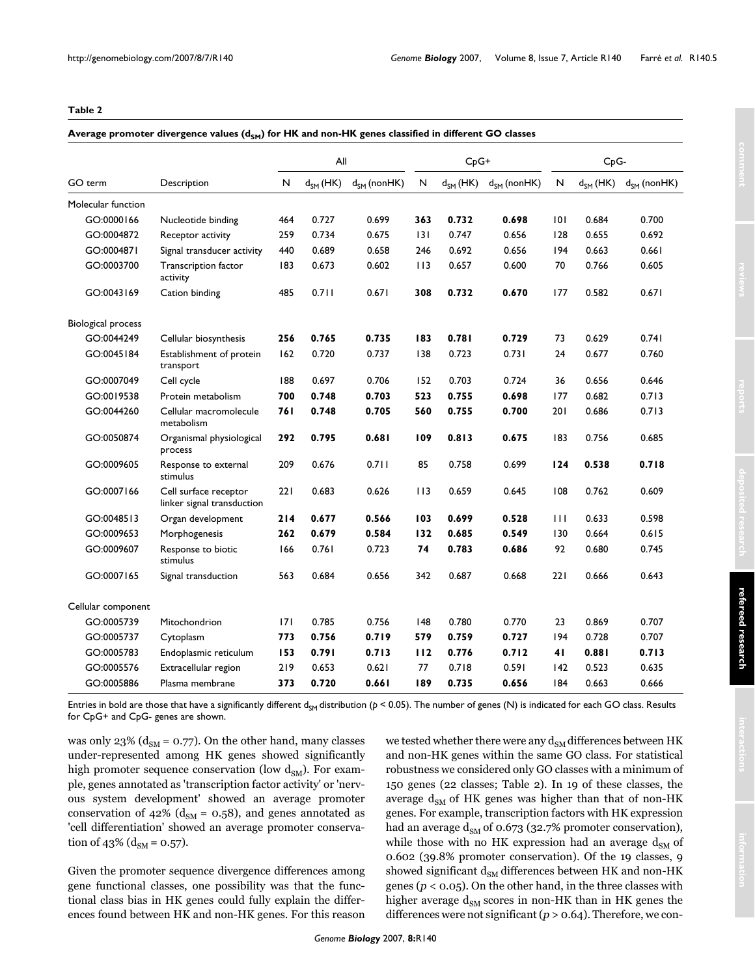#### <span id="page-4-0"></span>**Table 2**

#### Average promoter divergence values (d<sub>SM</sub>) for HK and non-HK genes classified in different GO classes

|                           |                                                     | All |               | $CpG+$           |     |               | C <sub>p</sub> G- |     |               |                  |
|---------------------------|-----------------------------------------------------|-----|---------------|------------------|-----|---------------|-------------------|-----|---------------|------------------|
| GO term                   | Description                                         | N   | $d_{SM}$ (HK) | $d_{SM}$ (nonHK) | N   | $d_{SM}$ (HK) | $d_{SM}$ (nonHK)  | N   | $d_{SM}$ (HK) | $d_{SM}$ (nonHK) |
| Molecular function        |                                                     |     |               |                  |     |               |                   |     |               |                  |
| GO:0000166                | Nucleotide binding                                  | 464 | 0.727         | 0.699            | 363 | 0.732         | 0.698             | 101 | 0.684         | 0.700            |
| GO:0004872                | Receptor activity                                   | 259 | 0.734         | 0.675            | 3   | 0.747         | 0.656             | 128 | 0.655         | 0.692            |
| GO:0004871                | Signal transducer activity                          | 440 | 0.689         | 0.658            | 246 | 0.692         | 0.656             | 194 | 0.663         | 0.661            |
| GO:0003700                | Transcription factor<br>activity                    | 183 | 0.673         | 0.602            | 113 | 0.657         | 0.600             | 70  | 0.766         | 0.605            |
| GO:0043169                | Cation binding                                      | 485 | 0.711         | 0.671            | 308 | 0.732         | 0.670             | 177 | 0.582         | 0.671            |
| <b>Biological process</b> |                                                     |     |               |                  |     |               |                   |     |               |                  |
| GO:0044249                | Cellular biosynthesis                               | 256 | 0.765         | 0.735            | 183 | 0.781         | 0.729             | 73  | 0.629         | 0.741            |
| GO:0045184                | Establishment of protein<br>transport               | 162 | 0.720         | 0.737            | 138 | 0.723         | 0.731             | 24  | 0.677         | 0.760            |
| GO:0007049                | Cell cycle                                          | 188 | 0.697         | 0.706            | 152 | 0.703         | 0.724             | 36  | 0.656         | 0.646            |
| GO:0019538                | Protein metabolism                                  | 700 | 0.748         | 0.703            | 523 | 0.755         | 0.698             | 177 | 0.682         | 0.713            |
| GO:0044260                | Cellular macromolecule<br>metabolism                | 761 | 0.748         | 0.705            | 560 | 0.755         | 0.700             | 201 | 0.686         | 0.713            |
| GO:0050874                | Organismal physiological<br>process                 | 292 | 0.795         | 0.681            | 109 | 0.813         | 0.675             | 183 | 0.756         | 0.685            |
| GO:0009605                | Response to external<br>stimulus                    | 209 | 0.676         | 0.711            | 85  | 0.758         | 0.699             | 124 | 0.538         | 0.718            |
| GO:0007166                | Cell surface receptor<br>linker signal transduction | 221 | 0.683         | 0.626            | 113 | 0.659         | 0.645             | 108 | 0.762         | 0.609            |
| GO:0048513                | Organ development                                   | 214 | 0.677         | 0.566            | 103 | 0.699         | 0.528             | 111 | 0.633         | 0.598            |
| GO:0009653                | Morphogenesis                                       | 262 | 0.679         | 0.584            | 132 | 0.685         | 0.549             | 130 | 0.664         | 0.615            |
| GO:0009607                | Response to biotic<br>stimulus                      | 166 | 0.761         | 0.723            | 74  | 0.783         | 0.686             | 92  | 0.680         | 0.745            |
| GO:0007165                | Signal transduction                                 | 563 | 0.684         | 0.656            | 342 | 0.687         | 0.668             | 221 | 0.666         | 0.643            |
| Cellular component        |                                                     |     |               |                  |     |               |                   |     |               |                  |
| GO:0005739                | Mitochondrion                                       | 7   | 0.785         | 0.756            | 148 | 0.780         | 0.770             | 23  | 0.869         | 0.707            |
| GO:0005737                | Cytoplasm                                           | 773 | 0.756         | 0.719            | 579 | 0.759         | 0.727             | 94  | 0.728         | 0.707            |
| GO:0005783                | Endoplasmic reticulum                               | 153 | 0.791         | 0.713            | 112 | 0.776         | 0.712             | 41  | 0.881         | 0.713            |
| GO:0005576                | Extracellular region                                | 219 | 0.653         | 0.621            | 77  | 0.718         | 0.591             | 142 | 0.523         | 0.635            |
| GO:0005886                | Plasma membrane                                     | 373 | 0.720         | 0.661            | 189 | 0.735         | 0.656             | 184 | 0.663         | 0.666            |

Entries in bold are those that have a significantly different d<sub>SM</sub> distribution ( $p < 0.05$ ). The number of genes (N) is indicated for each GO class. Results for CpG+ and CpG- genes are shown.

was only 23% ( $d_{SM}$  = 0.77). On the other hand, many classes under-represented among HK genes showed significantly high promoter sequence conservation (low  $d_{SM}$ ). For example, genes annotated as 'transcription factor activity' or 'nervous system development' showed an average promoter conservation of 42% ( $d_{SM}$  = 0.58), and genes annotated as 'cell differentiation' showed an average promoter conservation of 43% ( $d_{SM} = 0.57$ ).

Given the promoter sequence divergence differences among gene functional classes, one possibility was that the functional class bias in HK genes could fully explain the differences found between HK and non-HK genes. For this reason we tested whether there were any  $\mathrm{d}_\mathrm{SM}$  differences between HK and non-HK genes within the same GO class. For statistical robustness we considered only GO classes with a minimum of 150 genes (22 classes; Table [2](#page-4-0)). In 19 of these classes, the average  $d_{SM}$  of HK genes was higher than that of non-HK genes. For example, transcription factors with HK expression had an average  $d_{SM}$  of 0.673 (32.7% promoter conservation), while those with no HK expression had an average  $d_{\rm SM}$  of 0.602 (39.8% promoter conservation). Of the 19 classes, 9 showed significant  $d_{SM}$  differences between HK and non-HK genes (*p* < 0.05). On the other hand, in the three classes with higher average  $d_{SM}$  scores in non-HK than in HK genes the differences were not significant (*p* > 0.64). Therefore, we con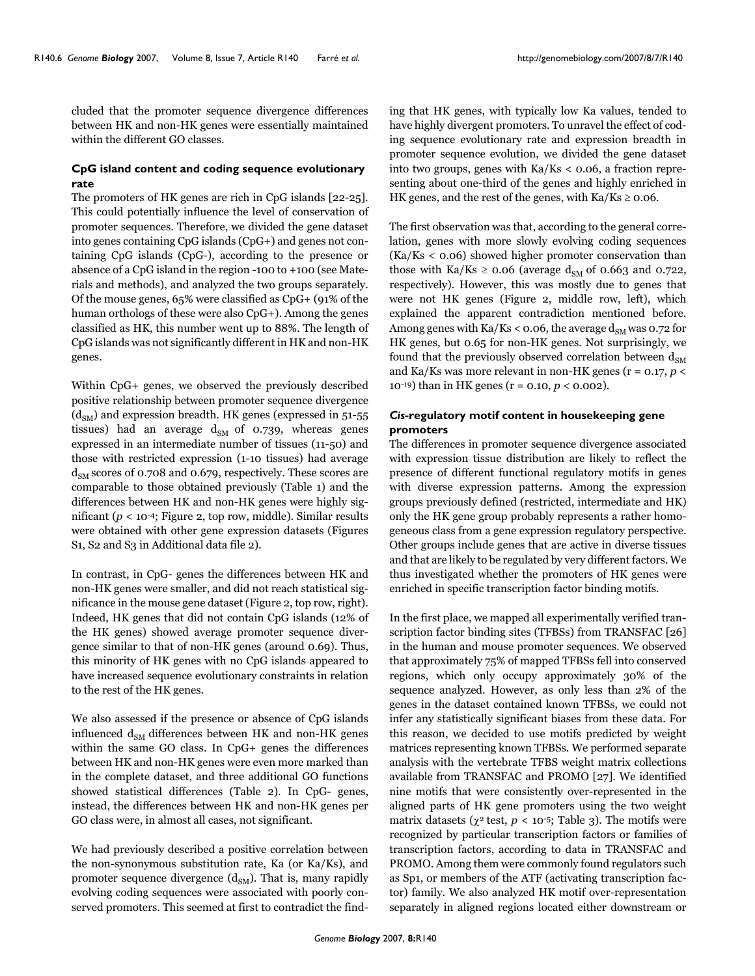cluded that the promoter sequence divergence differences between HK and non-HK genes were essentially maintained within the different GO classes.

### **CpG island content and coding sequence evolutionary rate**

The promoters of HK genes are rich in CpG islands [22-25]. This could potentially influence the level of conservation of promoter sequences. Therefore, we divided the gene dataset into genes containing CpG islands (CpG+) and genes not containing CpG islands (CpG-), according to the presence or absence of a CpG island in the region -100 to +100 (see Materials and methods), and analyzed the two groups separately. Of the mouse genes, 65% were classified as CpG+ (91% of the human orthologs of these were also CpG+). Among the genes classified as HK, this number went up to 88%. The length of CpG islands was not significantly different in HK and non-HK genes.

Within CpG+ genes, we observed the previously described positive relationship between promoter sequence divergence  $(d<sub>SM</sub>)$  and expression breadth. HK genes (expressed in 51-55) tissues) had an average  $d_{SM}$  of 0.739, whereas genes expressed in an intermediate number of tissues (11-50) and those with restricted expression (1-10 tissues) had average  $d_{SM}$  scores of 0.708 and 0.679, respectively. These scores are comparable to those obtained previously (Table [1\)](#page-2-0) and the differences between HK and non-HK genes were highly significant ( $p < 10^{-4}$ ; Figure 2, top row, middle). Similar results were obtained with other gene expression datasets (Figures S1, S2 and S3 in Additional data file 2).

In contrast, in CpG- genes the differences between HK and non-HK genes were smaller, and did not reach statistical significance in the mouse gene dataset (Figure 2, top row, right). Indeed, HK genes that did not contain CpG islands (12% of the HK genes) showed average promoter sequence divergence similar to that of non-HK genes (around 0.69). Thus, this minority of HK genes with no CpG islands appeared to have increased sequence evolutionary constraints in relation to the rest of the HK genes.

We also assessed if the presence or absence of CpG islands influenced  $d_{SM}$  differences between HK and non-HK genes within the same GO class. In CpG+ genes the differences between HK and non-HK genes were even more marked than in the complete dataset, and three additional GO functions showed statistical differences (Table [2](#page-4-0)). In CpG- genes, instead, the differences between HK and non-HK genes per GO class were, in almost all cases, not significant.

We had previously described a positive correlation between the non-synonymous substitution rate, Ka (or Ka/Ks), and promoter sequence divergence  $(d_{SM})$ . That is, many rapidly evolving coding sequences were associated with poorly conserved promoters. This seemed at first to contradict the finding that HK genes, with typically low Ka values, tended to have highly divergent promoters. To unravel the effect of coding sequence evolutionary rate and expression breadth in promoter sequence evolution, we divided the gene dataset into two groups, genes with  $Ka/Ks < 0.06$ , a fraction representing about one-third of the genes and highly enriched in HK genes, and the rest of the genes, with  $Ka/Ks \ge 0.06$ .

The first observation was that, according to the general correlation, genes with more slowly evolving coding sequences (Ka/Ks < 0.06) showed higher promoter conservation than those with Ka/Ks  $\geq$  0.06 (average d<sub>SM</sub> of 0.663 and 0.722, respectively). However, this was mostly due to genes that were not HK genes (Figure 2, middle row, left), which explained the apparent contradiction mentioned before. Among genes with Ka/Ks < 0.06, the average  $d_{SM}$  was 0.72 for HK genes, but 0.65 for non-HK genes. Not surprisingly, we found that the previously observed correlation between  $d_{\text{SM}}$ and Ka/Ks was more relevant in non-HK genes (r = 0.17, *p* < 10-19) than in HK genes (r = 0.10, *p* < 0.002).

# *Cis***-regulatory motif content in housekeeping gene promoters**

The differences in promoter sequence divergence associated with expression tissue distribution are likely to reflect the presence of different functional regulatory motifs in genes with diverse expression patterns. Among the expression groups previously defined (restricted, intermediate and HK) only the HK gene group probably represents a rather homogeneous class from a gene expression regulatory perspective. Other groups include genes that are active in diverse tissues and that are likely to be regulated by very different factors. We thus investigated whether the promoters of HK genes were enriched in specific transcription factor binding motifs.

In the first place, we mapped all experimentally verified transcription factor binding sites (TFBSs) from TRANSFAC [26] in the human and mouse promoter sequences. We observed that approximately 75% of mapped TFBSs fell into conserved regions, which only occupy approximately 30% of the sequence analyzed. However, as only less than 2% of the genes in the dataset contained known TFBSs, we could not infer any statistically significant biases from these data. For this reason, we decided to use motifs predicted by weight matrices representing known TFBSs. We performed separate analysis with the vertebrate TFBS weight matrix collections available from TRANSFAC and PROMO [27]. We identified nine motifs that were consistently over-represented in the aligned parts of HK gene promoters using the two weight matrix datasets ( $\chi^2$  test,  $p < 10^{-5}$ ; Table [3\)](#page-6-0). The motifs were recognized by particular transcription factors or families of transcription factors, according to data in TRANSFAC and PROMO. Among them were commonly found regulators such as Sp1, or members of the ATF (activating transcription factor) family. We also analyzed HK motif over-representation separately in aligned regions located either downstream or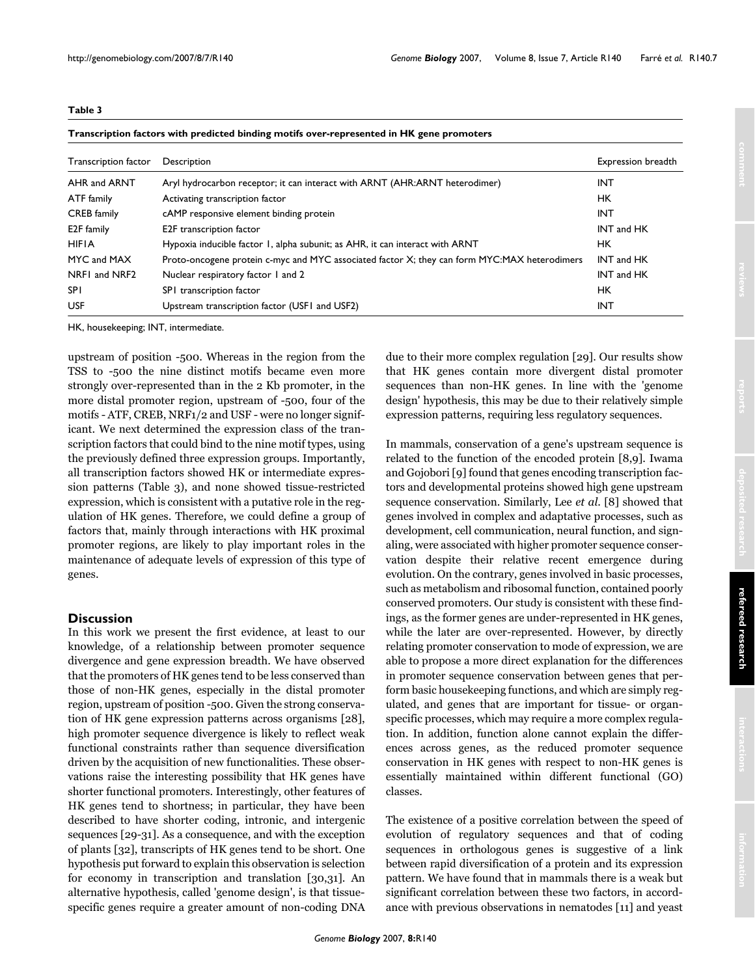#### <span id="page-6-0"></span>**Table 3**

| Transcription factors with predicted binding motifs over-represented in HK gene promoters |  |  |
|-------------------------------------------------------------------------------------------|--|--|
|-------------------------------------------------------------------------------------------|--|--|

| Transcription factor | Description                                                                                  | Expression breadth |
|----------------------|----------------------------------------------------------------------------------------------|--------------------|
| AHR and ARNT         | Aryl hydrocarbon receptor; it can interact with ARNT (AHR:ARNT heterodimer)                  | INT                |
| ATF family           | Activating transcription factor                                                              | HК                 |
| <b>CREB</b> family   | cAMP responsive element binding protein                                                      | INT                |
| E2F family           | E2F transcription factor                                                                     | INT and HK         |
| <b>HIFIA</b>         | Hypoxia inducible factor 1, alpha subunit; as AHR, it can interact with ARNT                 | HК                 |
| MYC and MAX          | Proto-oncogene protein c-myc and MYC associated factor X; they can form MYC:MAX heterodimers | INT and HK         |
| NRF1 and NRF2        | Nuclear respiratory factor 1 and 2                                                           | INT and HK         |
| <b>SPI</b>           | SPI transcription factor                                                                     | HK.                |
| <b>USF</b>           | Upstream transcription factor (USF1 and USF2)                                                | <b>INT</b>         |

HK, housekeeping; INT, intermediate.

upstream of position -500. Whereas in the region from the TSS to -500 the nine distinct motifs became even more strongly over-represented than in the 2 Kb promoter, in the more distal promoter region, upstream of -500, four of the motifs - ATF, CREB, NRF1/2 and USF - were no longer significant. We next determined the expression class of the transcription factors that could bind to the nine motif types, using the previously defined three expression groups. Importantly, all transcription factors showed HK or intermediate expression patterns (Table [3](#page-6-0)), and none showed tissue-restricted expression, which is consistent with a putative role in the regulation of HK genes. Therefore, we could define a group of factors that, mainly through interactions with HK proximal promoter regions, are likely to play important roles in the maintenance of adequate levels of expression of this type of genes.

#### **Discussion**

In this work we present the first evidence, at least to our knowledge, of a relationship between promoter sequence divergence and gene expression breadth. We have observed that the promoters of HK genes tend to be less conserved than those of non-HK genes, especially in the distal promoter region, upstream of position -500. Given the strong conservation of HK gene expression patterns across organisms [28], high promoter sequence divergence is likely to reflect weak functional constraints rather than sequence diversification driven by the acquisition of new functionalities. These observations raise the interesting possibility that HK genes have shorter functional promoters. Interestingly, other features of HK genes tend to shortness; in particular, they have been described to have shorter coding, intronic, and intergenic sequences [29-31]. As a consequence, and with the exception of plants [32], transcripts of HK genes tend to be short. One hypothesis put forward to explain this observation is selection for economy in transcription and translation [30,31]. An alternative hypothesis, called 'genome design', is that tissuespecific genes require a greater amount of non-coding DNA due to their more complex regulation [29]. Our results show that HK genes contain more divergent distal promoter sequences than non-HK genes. In line with the 'genome design' hypothesis, this may be due to their relatively simple expression patterns, requiring less regulatory sequences.

In mammals, conservation of a gene's upstream sequence is related to the function of the encoded protein [8,9]. Iwama and Gojobori [9] found that genes encoding transcription factors and developmental proteins showed high gene upstream sequence conservation. Similarly, Lee *et al*. [8] showed that genes involved in complex and adaptative processes, such as development, cell communication, neural function, and signaling, were associated with higher promoter sequence conservation despite their relative recent emergence during evolution. On the contrary, genes involved in basic processes, such as metabolism and ribosomal function, contained poorly conserved promoters. Our study is consistent with these findings, as the former genes are under-represented in HK genes, while the later are over-represented. However, by directly relating promoter conservation to mode of expression, we are able to propose a more direct explanation for the differences in promoter sequence conservation between genes that perform basic housekeeping functions, and which are simply regulated, and genes that are important for tissue- or organspecific processes, which may require a more complex regulation. In addition, function alone cannot explain the differences across genes, as the reduced promoter sequence conservation in HK genes with respect to non-HK genes is essentially maintained within different functional (GO) classes.

The existence of a positive correlation between the speed of evolution of regulatory sequences and that of coding sequences in orthologous genes is suggestive of a link between rapid diversification of a protein and its expression pattern. We have found that in mammals there is a weak but significant correlation between these two factors, in accordance with previous observations in nematodes [11] and yeast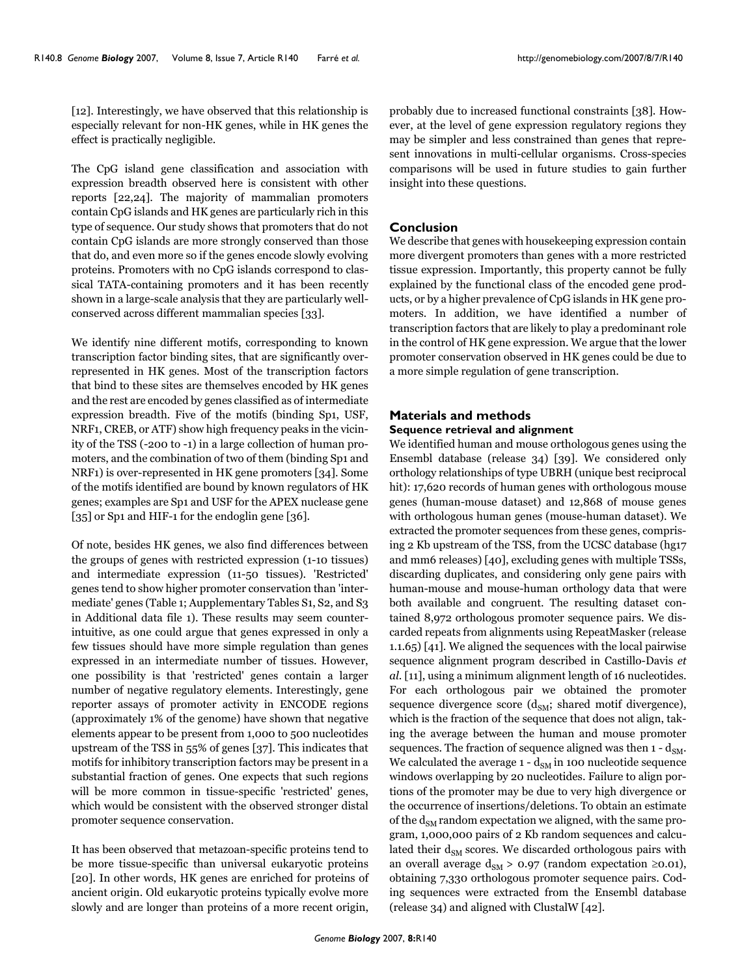[12]. Interestingly, we have observed that this relationship is especially relevant for non-HK genes, while in HK genes the effect is practically negligible.

The CpG island gene classification and association with expression breadth observed here is consistent with other reports [22,24]. The majority of mammalian promoters contain CpG islands and HK genes are particularly rich in this type of sequence. Our study shows that promoters that do not contain CpG islands are more strongly conserved than those that do, and even more so if the genes encode slowly evolving proteins. Promoters with no CpG islands correspond to classical TATA-containing promoters and it has been recently shown in a large-scale analysis that they are particularly wellconserved across different mammalian species [33].

We identify nine different motifs, corresponding to known transcription factor binding sites, that are significantly overrepresented in HK genes. Most of the transcription factors that bind to these sites are themselves encoded by HK genes and the rest are encoded by genes classified as of intermediate expression breadth. Five of the motifs (binding Sp1, USF, NRF1, CREB, or ATF) show high frequency peaks in the vicinity of the TSS (-200 to -1) in a large collection of human promoters, and the combination of two of them (binding Sp1 and NRF1) is over-represented in HK gene promoters [34]. Some of the motifs identified are bound by known regulators of HK genes; examples are Sp1 and USF for the APEX nuclease gene [35] or Sp1 and HIF-1 for the endoglin gene [36].

Of note, besides HK genes, we also find differences between the groups of genes with restricted expression (1-10 tissues) and intermediate expression (11-50 tissues). 'Restricted' genes tend to show higher promoter conservation than 'intermediate' genes (Table [1;](#page-2-0) Aupplementary Tables S1, S2, and S3 in Additional data file 1). These results may seem counterintuitive, as one could argue that genes expressed in only a few tissues should have more simple regulation than genes expressed in an intermediate number of tissues. However, one possibility is that 'restricted' genes contain a larger number of negative regulatory elements. Interestingly, gene reporter assays of promoter activity in ENCODE regions (approximately 1% of the genome) have shown that negative elements appear to be present from 1,000 to 500 nucleotides upstream of the TSS in 55% of genes [37]. This indicates that motifs for inhibitory transcription factors may be present in a substantial fraction of genes. One expects that such regions will be more common in tissue-specific 'restricted' genes, which would be consistent with the observed stronger distal promoter sequence conservation.

It has been observed that metazoan-specific proteins tend to be more tissue-specific than universal eukaryotic proteins [20]. In other words, HK genes are enriched for proteins of ancient origin. Old eukaryotic proteins typically evolve more slowly and are longer than proteins of a more recent origin,

probably due to increased functional constraints [38]. However, at the level of gene expression regulatory regions they may be simpler and less constrained than genes that represent innovations in multi-cellular organisms. Cross-species comparisons will be used in future studies to gain further insight into these questions.

#### **Conclusion**

We describe that genes with housekeeping expression contain more divergent promoters than genes with a more restricted tissue expression. Importantly, this property cannot be fully explained by the functional class of the encoded gene products, or by a higher prevalence of CpG islands in HK gene promoters. In addition, we have identified a number of transcription factors that are likely to play a predominant role in the control of HK gene expression. We argue that the lower promoter conservation observed in HK genes could be due to a more simple regulation of gene transcription.

# **Materials and methods Sequence retrieval and alignment**

We identified human and mouse orthologous genes using the Ensembl database (release 34) [39]. We considered only orthology relationships of type UBRH (unique best reciprocal hit): 17,620 records of human genes with orthologous mouse genes (human-mouse dataset) and 12,868 of mouse genes with orthologous human genes (mouse-human dataset). We extracted the promoter sequences from these genes, comprising 2 Kb upstream of the TSS, from the UCSC database (hg17 and mm6 releases) [40], excluding genes with multiple TSSs, discarding duplicates, and considering only gene pairs with human-mouse and mouse-human orthology data that were both available and congruent. The resulting dataset contained 8,972 orthologous promoter sequence pairs. We discarded repeats from alignments using RepeatMasker (release 1.1.65) [41]. We aligned the sequences with the local pairwise sequence alignment program described in Castillo-Davis *et al*. [11], using a minimum alignment length of 16 nucleotides. For each orthologous pair we obtained the promoter sequence divergence score  $(d_{SM};$  shared motif divergence), which is the fraction of the sequence that does not align, taking the average between the human and mouse promoter sequences. The fraction of sequence aligned was then  $1 - d_{SM}$ . We calculated the average  $1 - d_{SM}$  in 100 nucleotide sequence windows overlapping by 20 nucleotides. Failure to align portions of the promoter may be due to very high divergence or the occurrence of insertions/deletions. To obtain an estimate of the  $d_{SM}$  random expectation we aligned, with the same program, 1,000,000 pairs of 2 Kb random sequences and calculated their  $d_{SM}$  scores. We discarded orthologous pairs with an overall average  $d_{SM} > 0.97$  (random expectation ≥0.01), obtaining 7,330 orthologous promoter sequence pairs. Coding sequences were extracted from the Ensembl database (release 34) and aligned with ClustalW [42].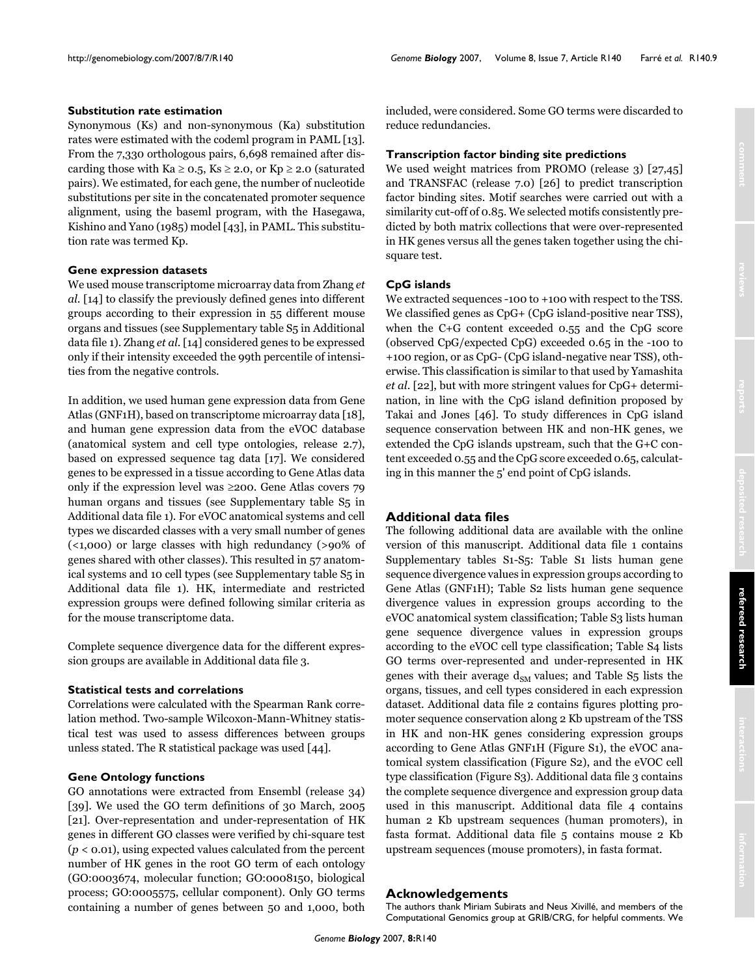#### **Substitution rate estimation**

Synonymous (Ks) and non-synonymous (Ka) substitution rates were estimated with the codeml program in PAML [13]. From the 7,330 orthologous pairs, 6,698 remained after discarding those with Ka  $\geq$  0.5, Ks  $\geq$  2.0, or Kp  $\geq$  2.0 (saturated pairs). We estimated, for each gene, the number of nucleotide substitutions per site in the concatenated promoter sequence alignment, using the baseml program, with the Hasegawa, Kishino and Yano (1985) model [43], in PAML. This substitution rate was termed Kp.

#### **Gene expression datasets**

We used mouse transcriptome microarray data from Zhang *et al*. [14] to classify the previously defined genes into different groups according to their expression in 55 different mouse organs and tissues (see Supplementary table S5 in Additional data file 1). Zhang *et al*. [14] considered genes to be expressed only if their intensity exceeded the 99th percentile of intensities from the negative controls.

In addition, we used human gene expression data from Gene Atlas (GNF1H), based on transcriptome microarray data [18], and human gene expression data from the eVOC database (anatomical system and cell type ontologies, release 2.7), based on expressed sequence tag data [17]. We considered genes to be expressed in a tissue according to Gene Atlas data only if the expression level was ≥200. Gene Atlas covers 79 human organs and tissues (see Supplementary table S5 in Additional data file 1). For eVOC anatomical systems and cell types we discarded classes with a very small number of genes (<1,000) or large classes with high redundancy (>90% of genes shared with other classes). This resulted in 57 anatomical systems and 10 cell types (see Supplementary table S5 in Additional data file 1). HK, intermediate and restricted expression groups were defined following similar criteria as for the mouse transcriptome data.

Complete sequence divergence data for the different expression groups are available in Additional data file 3.

#### **Statistical tests and correlations**

Correlations were calculated with the Spearman Rank correlation method. Two-sample Wilcoxon-Mann-Whitney statistical test was used to assess differences between groups unless stated. The R statistical package was used [44].

#### **Gene Ontology functions**

GO annotations were extracted from Ensembl (release 34) [39]. We used the GO term definitions of 30 March, 2005 [21]. Over-representation and under-representation of HK genes in different GO classes were verified by chi-square test (*p* < 0.01), using expected values calculated from the percent number of HK genes in the root GO term of each ontology (GO:0003674, molecular function; GO:0008150, biological process; GO:0005575, cellular component). Only GO terms containing a number of genes between 50 and 1,000, both included, were considered. Some GO terms were discarded to reduce redundancies.

#### **Transcription factor binding site predictions**

We used weight matrices from PROMO (release 3) [27,45] and TRANSFAC (release 7.0) [26] to predict transcription factor binding sites. Motif searches were carried out with a similarity cut-off of 0.85. We selected motifs consistently predicted by both matrix collections that were over-represented in HK genes versus all the genes taken together using the chisquare test.

### **CpG islands**

We extracted sequences -100 to +100 with respect to the TSS. We classified genes as  $CpG+ (CpG)$  island-positive near TSS), when the C+G content exceeded 0.55 and the CpG score (observed CpG/expected CpG) exceeded 0.65 in the -100 to +100 region, or as CpG- (CpG island-negative near TSS), otherwise. This classification is similar to that used by Yamashita *et al*. [22], but with more stringent values for CpG+ determination, in line with the CpG island definition proposed by Takai and Jones [46]. To study differences in CpG island sequence conservation between HK and non-HK genes, we extended the CpG islands upstream, such that the G+C content exceeded 0.55 and the CpG score exceeded 0.65, calculating in this manner the 5' end point of CpG islands.

# **Additional data files**

The following additional data are available with the online version of this manuscript. Additional data file 1 contains Supplementary tables S1-S5: Table S1 lists human gene sequence divergence values in expression groups according to Gene Atlas (GNF1H); Table S2 lists human gene sequence divergence values in expression groups according to the eVOC anatomical system classification; Table S3 lists human gene sequence divergence values in expression groups according to the eVOC cell type classification; Table S4 lists GO terms over-represented and under-represented in HK genes with their average  $d_{SM}$  values; and Table S5 lists the organs, tissues, and cell types considered in each expression dataset. Additional data file 2 contains figures plotting promoter sequence conservation along 2 Kb upstream of the TSS in HK and non-HK genes considering expression groups according to Gene Atlas GNF1H (Figure S1), the eVOC anatomical system classification (Figure S2), and the eVOC cell type classification (Figure S3). Additional data file 3 contains the complete sequence divergence and expression group data used in this manuscript. Additional data file 4 contains human 2 Kb upstream sequences (human promoters), in fasta format. Additional data file 5 contains mouse 2 Kb upstream sequences (mouse promoters), in fasta format.

### **Acknowledgements**

The authors thank Miriam Subirats and Neus Xivillé, and members of the Computational Genomics group at GRIB/CRG, for helpful comments. We